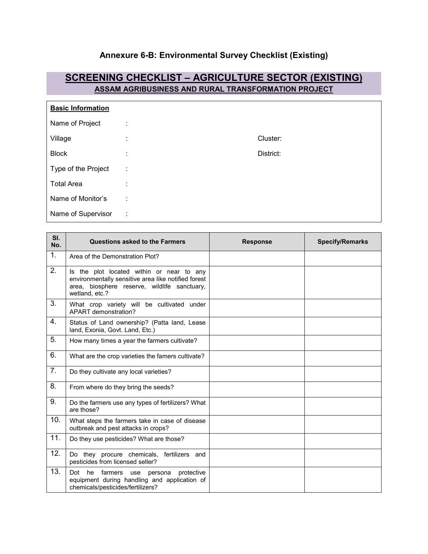## **Annexure 6-B: Environmental Survey Checklist (Existing)**

## **SCREENING CHECKLIST – AGRICULTURE SECTOR (EXISTING) ASSAM AGRIBUSINESS AND RURAL TRANSFORMATION PROJECT**

| <b>Basic Information</b> |                     |           |
|--------------------------|---------------------|-----------|
| Name of Project          | ٠<br>$\blacksquare$ |           |
| Village                  | ٠<br>$\mathbf{r}$   | Cluster:  |
| <b>Block</b>             | ٠<br>$\mathbf{r}$   | District: |
| Type of the Project      | ÷                   |           |
| <b>Total Area</b>        | t                   |           |
| Name of Monitor's        | ÷                   |           |
| Name of Supervisor       | ÷                   |           |

| SI.<br>No. | Questions asked to the Farmers                                                                                                                                     | <b>Response</b> | <b>Specify/Remarks</b> |
|------------|--------------------------------------------------------------------------------------------------------------------------------------------------------------------|-----------------|------------------------|
| 1.         | Area of the Demonstration Plot?                                                                                                                                    |                 |                        |
| 2.         | Is the plot located within or near to any<br>environmentally sensitive area like notified forest<br>area, biosphere reserve, wildlife sanctuary,<br>wetland, etc.? |                 |                        |
| 3.         | What crop variety will be cultivated under<br>APART demonstration?                                                                                                 |                 |                        |
| 4.         | Status of Land ownership? (Patta land, Lease<br>land, Exonia, Govt. Land, Etc.)                                                                                    |                 |                        |
| 5.         | How many times a year the farmers cultivate?                                                                                                                       |                 |                        |
| 6.         | What are the crop varieties the famers cultivate?                                                                                                                  |                 |                        |
| 7.         | Do they cultivate any local varieties?                                                                                                                             |                 |                        |
| 8.         | From where do they bring the seeds?                                                                                                                                |                 |                        |
| 9.         | Do the farmers use any types of fertilizers? What<br>are those?                                                                                                    |                 |                        |
| 10.        | What steps the farmers take in case of disease<br>outbreak and pest attacks in crops?                                                                              |                 |                        |
| 11.        | Do they use pesticides? What are those?                                                                                                                            |                 |                        |
| 12.        | Do they procure chemicals, fertilizers and<br>pesticides from licensed seller?                                                                                     |                 |                        |
| 13.        | he<br>farmers use persona<br>Dot<br>protective<br>equipment during handling and application of<br>chemicals/pesticides/fertilizers?                                |                 |                        |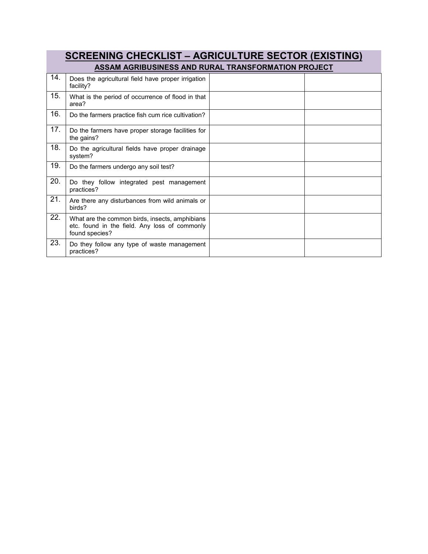| <b>SCREENING CHECKLIST - AGRICULTURE SECTOR (EXISTING)</b> |                                                                                                                   |  |  |  |  |
|------------------------------------------------------------|-------------------------------------------------------------------------------------------------------------------|--|--|--|--|
|                                                            | ASSAM AGRIBUSINESS AND RURAL TRANSFORMATION PROJECT                                                               |  |  |  |  |
| 14.                                                        | Does the agricultural field have proper irrigation<br>facility?                                                   |  |  |  |  |
| 15.                                                        | What is the period of occurrence of flood in that<br>area?                                                        |  |  |  |  |
| 16.                                                        | Do the farmers practice fish cum rice cultivation?                                                                |  |  |  |  |
| 17.                                                        | Do the farmers have proper storage facilities for<br>the gains?                                                   |  |  |  |  |
| 18.                                                        | Do the agricultural fields have proper drainage<br>system?                                                        |  |  |  |  |
| 19.                                                        | Do the farmers undergo any soil test?                                                                             |  |  |  |  |
| 20.                                                        | Do they follow integrated pest management<br>practices?                                                           |  |  |  |  |
| 21.                                                        | Are there any disturbances from wild animals or<br>birds?                                                         |  |  |  |  |
| 22.                                                        | What are the common birds, insects, amphibians<br>etc. found in the field. Any loss of commonly<br>found species? |  |  |  |  |
| 23.                                                        | Do they follow any type of waste management<br>practices?                                                         |  |  |  |  |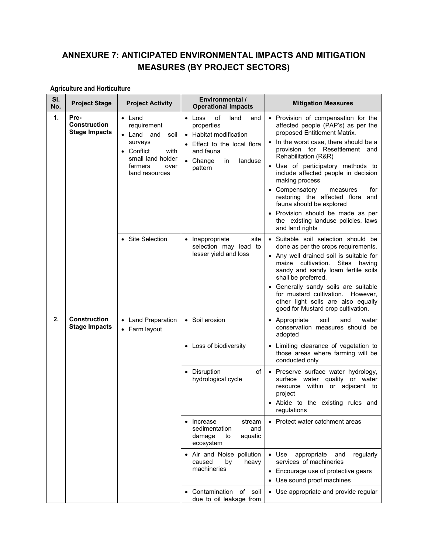## **ANNEXURE 7: ANTICIPATED ENVIRONMENTAL IMPACTS AND MITIGATION MEASURES (BY PROJECT SECTORS)**

## **Agriculture and Horticulture**

| SI.<br>No. | <b>Project Stage</b>                                | <b>Project Activity</b>                                                                                                                        | <b>Environmental /</b><br><b>Operational Impacts</b>                                                                                                                     | <b>Mitigation Measures</b>                                                                                                                                                                                                                                                                                                                                                                                                                                                                                         |
|------------|-----------------------------------------------------|------------------------------------------------------------------------------------------------------------------------------------------------|--------------------------------------------------------------------------------------------------------------------------------------------------------------------------|--------------------------------------------------------------------------------------------------------------------------------------------------------------------------------------------------------------------------------------------------------------------------------------------------------------------------------------------------------------------------------------------------------------------------------------------------------------------------------------------------------------------|
| 1.         | Pre-<br><b>Construction</b><br><b>Stage Impacts</b> | $\bullet$ Land<br>requirement<br>• Land and<br>soil<br>surveys<br>• Conflict<br>with<br>small land holder<br>farmers<br>over<br>land resources | of<br>$\bullet$ Loss<br>land<br>and<br>properties<br>Habitat modification<br>$\bullet$<br>Effect to the local flora<br>and fauna<br>• Change<br>landuse<br>in<br>pattern | • Provision of compensation for the<br>affected people (PAP's) as per the<br>proposed Entitlement Matrix.<br>• In the worst case, there should be a<br>provision for Resettlement and<br>Rehabilitation (R&R)<br>• Use of participatory methods to<br>include affected people in decision<br>making process<br>• Compensatory<br>for<br>measures<br>restoring the affected flora<br>and<br>fauna should be explored<br>• Provision should be made as per<br>the existing landuse policies, laws<br>and land rights |
|            |                                                     | • Site Selection                                                                                                                               | site<br>• Inappropriate<br>selection may lead to<br>lesser yield and loss                                                                                                | • Suitable soil selection should be<br>done as per the crops requirements.<br>• Any well drained soil is suitable for<br>maize cultivation.<br>Sites having<br>sandy and sandy loam fertile soils<br>shall be preferred.<br>• Generally sandy soils are suitable<br>for mustard cultivation. However,<br>other light soils are also equally<br>good for Mustard crop cultivation.                                                                                                                                  |
| 2.         | <b>Construction</b><br><b>Stage Impacts</b>         | • Land Preparation<br>• Farm layout                                                                                                            | • Soil erosion                                                                                                                                                           | • Appropriate<br>soil<br>and<br>water<br>conservation measures should be<br>adopted                                                                                                                                                                                                                                                                                                                                                                                                                                |
|            |                                                     |                                                                                                                                                | • Loss of biodiversity                                                                                                                                                   | • Limiting clearance of vegetation to<br>those areas where farming will be<br>conducted only                                                                                                                                                                                                                                                                                                                                                                                                                       |
|            |                                                     |                                                                                                                                                | • Disruption<br>οf<br>hydrological cycle                                                                                                                                 | • Preserve surface water hydrology,<br>surface water quality or water<br>resource within or adjacent to<br>project<br>• Abide to the existing rules and<br>regulations                                                                                                                                                                                                                                                                                                                                             |
|            |                                                     |                                                                                                                                                | Increase<br>stream<br>$\bullet$<br>sedimentation<br>and<br>damage<br>aquatic<br>to<br>ecosystem                                                                          | • Protect water catchment areas                                                                                                                                                                                                                                                                                                                                                                                                                                                                                    |
|            |                                                     |                                                                                                                                                | • Air and Noise pollution<br>caused<br>heavy<br>by<br>machineries                                                                                                        | $\bullet$ Use<br>appropriate<br>regularly<br>and<br>services of machineries<br>Encourage use of protective gears<br>• Use sound proof machines                                                                                                                                                                                                                                                                                                                                                                     |
|            |                                                     |                                                                                                                                                | of soil<br>Contamination<br>due to oil leakage from                                                                                                                      | • Use appropriate and provide regular                                                                                                                                                                                                                                                                                                                                                                                                                                                                              |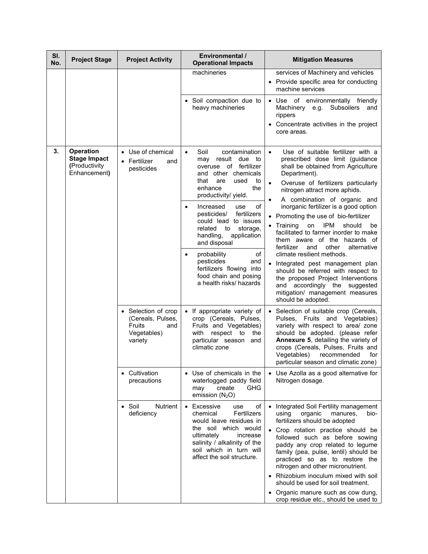| SI.<br>No. | <b>Project Stage</b>                                                     | <b>Project Activity</b>                                                             | <b>Environmental /</b><br><b>Operational Impacts</b>                                                                                                                                                                                                                                                                                                                                                                                                                                        | <b>Mitigation Measures</b>                                                                                                                                                                                                                                                                                                                                                                                                                                                                                                                                                                                                                                                                                                                                            |
|------------|--------------------------------------------------------------------------|-------------------------------------------------------------------------------------|---------------------------------------------------------------------------------------------------------------------------------------------------------------------------------------------------------------------------------------------------------------------------------------------------------------------------------------------------------------------------------------------------------------------------------------------------------------------------------------------|-----------------------------------------------------------------------------------------------------------------------------------------------------------------------------------------------------------------------------------------------------------------------------------------------------------------------------------------------------------------------------------------------------------------------------------------------------------------------------------------------------------------------------------------------------------------------------------------------------------------------------------------------------------------------------------------------------------------------------------------------------------------------|
|            |                                                                          |                                                                                     | machineries                                                                                                                                                                                                                                                                                                                                                                                                                                                                                 | services of Machinery and vehicles<br>• Provide specific area for conducting<br>machine services                                                                                                                                                                                                                                                                                                                                                                                                                                                                                                                                                                                                                                                                      |
|            |                                                                          |                                                                                     | Soil compaction due to<br>heavy machineries                                                                                                                                                                                                                                                                                                                                                                                                                                                 | · Use of environmentally friendly<br>Machinery e.g. Subsoilers<br>and<br>rippers<br>• Concentrate activities in the project<br>core areas.                                                                                                                                                                                                                                                                                                                                                                                                                                                                                                                                                                                                                            |
| 3.         | <b>Operation</b><br><b>Stage Impact</b><br>(Productivity<br>Enhancement) | • Use of chemical<br>• Fertilizer<br>and<br>pesticides                              | Soil<br>contamination<br>$\bullet$<br>may result due to<br>overuse of fertilizer<br>and other chemicals<br>that<br>used<br>are<br>to<br>enhance<br>the<br>productivity/ yield.<br>Increased<br>of<br>use<br>$\bullet$<br>fertilizers<br>pesticides/<br>could lead to issues<br>storage,<br>related<br>to<br>handling,<br>application<br>and disposal<br>probability<br>of<br>$\bullet$<br>pesticides<br>and<br>fertilizers flowing into<br>food chain and posing<br>a health risks/ hazards | Use of suitable fertilizer with a<br>$\bullet$<br>prescribed dose limit (guidance<br>shall be obtained from Agriculture<br>Department).<br>Overuse of fertilizers particularly<br>$\bullet$<br>nitrogen attract more aphids.<br>A combination of organic and<br>$\bullet$<br>inorganic fertilizer is a good option<br>• Promoting the use of bio-fertilizer<br>IPM<br>should<br>• Training<br>on<br>be<br>facilitated to farmer inorder to make<br>them aware of the hazards of<br>fertilizer<br>and<br>other<br>alternative<br>climate resilient methods.<br>• Integrated pest management plan<br>should be referred with respect to<br>the proposed Project Interventions<br>and accordingly the suggested<br>mitigation/ management measures<br>should be adopted. |
|            |                                                                          | • Selection of crop<br>(Cereals, Pulses,<br>Fruits<br>and<br>Vegetables)<br>variety | • If appropriate variety of<br>crop (Cereals, Pulses,<br>Fruits and Vegetables)<br>with<br>respect to<br>the<br>particular season<br>and<br>climatic zone                                                                                                                                                                                                                                                                                                                                   | • Selection of suitable crop (Cereals,<br>Pulses, Fruits and Vegetables)<br>variety with respect to area/ zone<br>should be adopted. (please refer<br>Annexure 5, detailing the variety of<br>crops (Cereals, Pulses, Fruits and<br>Vegetables)<br>recommended<br>for<br>particular season and climatic zone)                                                                                                                                                                                                                                                                                                                                                                                                                                                         |
|            |                                                                          | • Cultivation<br>precautions                                                        | • Use of chemicals in the<br>waterlogged paddy field<br><b>GHG</b><br>create<br>may<br>emission $(N_2O)$                                                                                                                                                                                                                                                                                                                                                                                    | • Use Azolla as a good alternative for<br>Nitrogen dosage.                                                                                                                                                                                                                                                                                                                                                                                                                                                                                                                                                                                                                                                                                                            |
|            |                                                                          | Nutrient<br>$\bullet$ Soil<br>deficiency                                            | • Excessive<br>of<br>use<br>Fertilizers<br>chemical<br>would leave residues in<br>the soil which would<br>ultimately<br>increase<br>salinity / alkalinity of the<br>soil which in turn will<br>affect the soil structure.                                                                                                                                                                                                                                                                   | • Integrated Soil Fertility management<br>organic<br>manures,<br>bio-<br>using<br>fertilizers should be adopted<br>• Crop rotation practice should be<br>followed such as before sowing<br>paddy any crop related to legume<br>family (pea, pulse, lentil) should be<br>practiced so as to restore the<br>nitrogen and other micronutrient.<br>• Rhizobium inoculum mixed with soil<br>should be used for soil treatment.<br>• Organic manure such as cow dung,<br>crop residue etc., should be used to                                                                                                                                                                                                                                                               |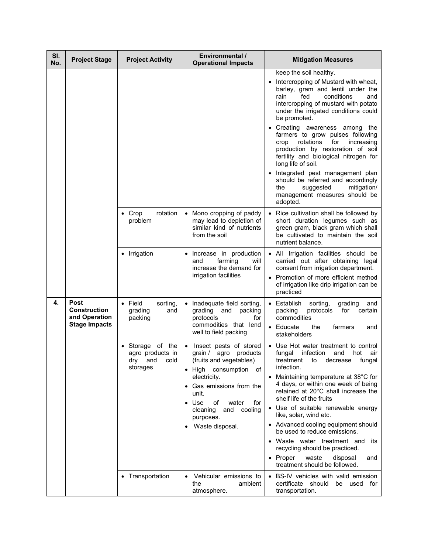| SI.<br>No. | <b>Project Stage</b>                                                 | <b>Project Activity</b>                                              | <b>Environmental /</b><br><b>Operational Impacts</b>                                                                                                                                                                                                                | <b>Mitigation Measures</b>                                                                                                                                                                                                                                                                                                                                                                                                                                                                                                                                                                                             |
|------------|----------------------------------------------------------------------|----------------------------------------------------------------------|---------------------------------------------------------------------------------------------------------------------------------------------------------------------------------------------------------------------------------------------------------------------|------------------------------------------------------------------------------------------------------------------------------------------------------------------------------------------------------------------------------------------------------------------------------------------------------------------------------------------------------------------------------------------------------------------------------------------------------------------------------------------------------------------------------------------------------------------------------------------------------------------------|
|            |                                                                      |                                                                      |                                                                                                                                                                                                                                                                     | keep the soil healthy.<br>Intercropping of Mustard with wheat,<br>barley, gram and lentil under the<br>conditions<br>rain<br>fed<br>and<br>intercropping of mustard with potato<br>under the irrigated conditions could<br>be promoted.<br>• Creating awareness among the<br>farmers to grow pulses following<br>rotations<br>for<br>increasing<br>crop<br>production by restoration of soil<br>fertility and biological nitrogen for<br>long life of soil.<br>• Integrated pest management plan<br>should be referred and accordingly<br>the<br>suggested<br>mitigation/<br>management measures should be<br>adopted. |
|            |                                                                      | rotation<br>$\bullet$ Crop<br>problem                                | Mono cropping of paddy<br>may lead to depletion of<br>similar kind of nutrients<br>from the soil                                                                                                                                                                    | • Rice cultivation shall be followed by<br>short duration legumes such as<br>green gram, black gram which shall<br>be cultivated to maintain the soil<br>nutrient balance.                                                                                                                                                                                                                                                                                                                                                                                                                                             |
|            |                                                                      | • Irrigation                                                         | Increase in production<br>farming<br>and<br>will<br>increase the demand for<br>irrigation facilities                                                                                                                                                                | • All Irrigation facilities should be<br>carried out after obtaining legal<br>consent from irrigation department.<br>• Promotion of more efficient method<br>of irrigation like drip irrigation can be<br>practiced                                                                                                                                                                                                                                                                                                                                                                                                    |
| 4.         | Post<br><b>Construction</b><br>and Operation<br><b>Stage Impacts</b> | $\bullet$ Field<br>sorting,<br>grading<br>and<br>packing             | Inadequate field sorting,<br>grading<br>packing<br>and<br>protocols<br>for<br>commodities that lend<br>well to field packing                                                                                                                                        | • Establish<br>sorting,<br>grading<br>and<br>packing<br>protocols<br>for<br>certain<br>commodities<br>• Educate<br>the<br>farmers<br>and<br>stakeholders                                                                                                                                                                                                                                                                                                                                                                                                                                                               |
|            |                                                                      | Storage of the<br>agro products in<br>cold<br>dry<br>and<br>storages | Insect pests of stored<br>grain / agro products<br>(fruits and vegetables)<br>of<br>• High consumption<br>electricity.<br>• Gas emissions from the<br>unit.<br>Use<br>of<br>for<br>water<br>$\bullet$<br>and<br>cooling<br>cleaning<br>purposes.<br>Waste disposal. | Use Hot water treatment to control<br>$\bullet$<br>fungal<br>infection<br>and<br>hot<br>air<br>fungal<br>treatment<br>to<br>decrease<br>infection.<br>• Maintaining temperature at 38°C for<br>4 days, or within one week of being<br>retained at 20°C shall increase the<br>shelf life of the fruits<br>• Use of suitable renewable energy<br>like, solar, wind etc.<br>• Advanced cooling equipment should<br>be used to reduce emissions.<br>• Waste water treatment and<br>its<br>recycling should be practiced.<br>• Proper<br>waste<br>disposal<br>and<br>treatment should be followed.                          |
|            |                                                                      | • Transportation                                                     | Vehicular emissions to<br>the<br>ambient<br>atmosphere.                                                                                                                                                                                                             | • BS-IV vehicles with valid emission<br>certificate<br>should<br>be used for<br>transportation.                                                                                                                                                                                                                                                                                                                                                                                                                                                                                                                        |